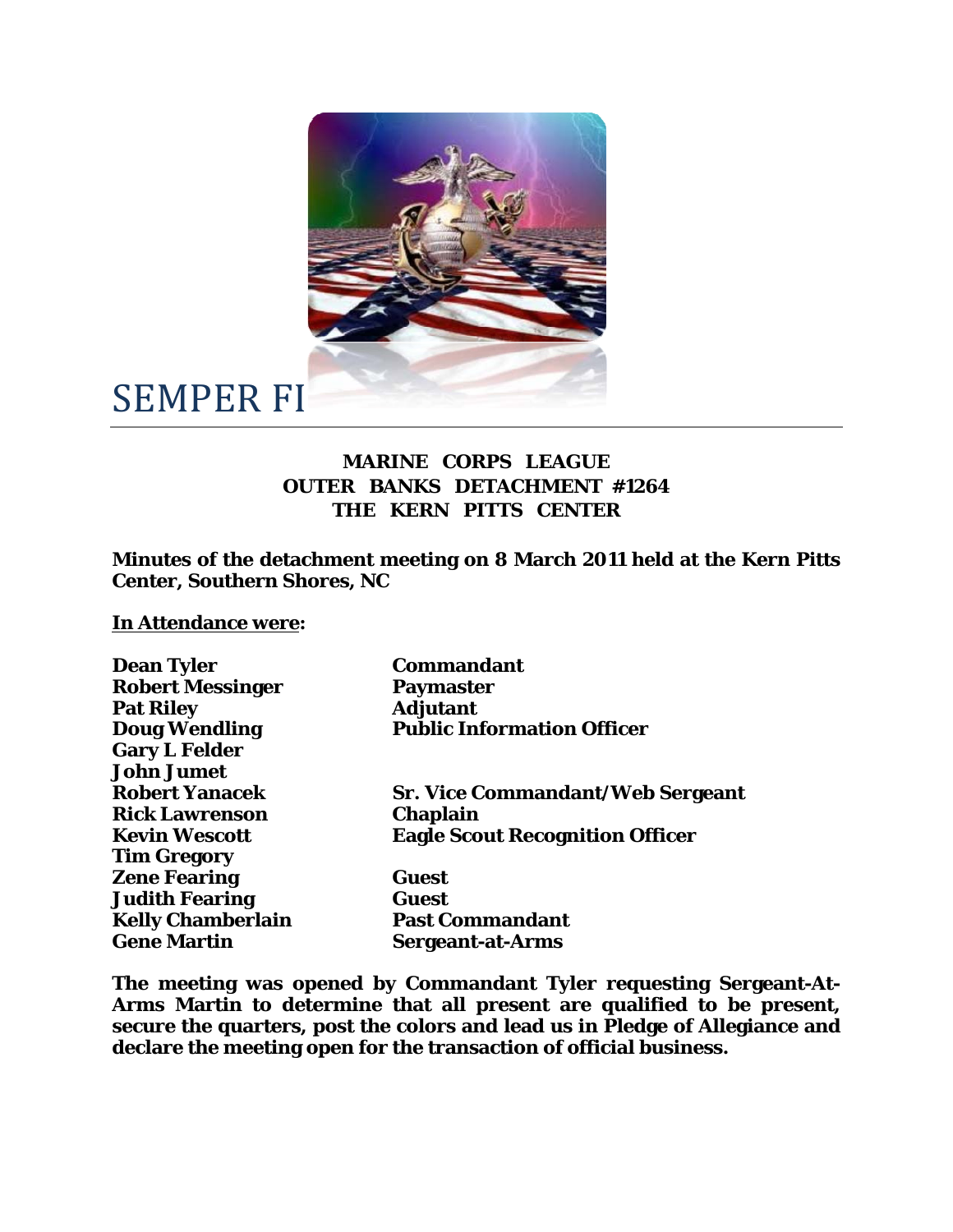

## SEMPER FI

## **MARINE CORPS LEAGUE OUTER BANKS DETACHMENT #1264 THE KERN PITTS CENTER**

**Minutes of the detachment meeting on 8 March 2011 held at the Kern Pitts Center, Southern Shores, NC** 

## **In Attendance were:**

| <b>Dean Tyler</b>        | <b>Commandant</b>                       |
|--------------------------|-----------------------------------------|
| <b>Robert Messinger</b>  | <b>Paymaster</b>                        |
| <b>Pat Riley</b>         | <b>Adjutant</b>                         |
| <b>Doug Wendling</b>     | <b>Public Information Officer</b>       |
| <b>Gary L Felder</b>     |                                         |
| <b>John Jumet</b>        |                                         |
| <b>Robert Yanacek</b>    | <b>Sr. Vice Commandant/Web Sergeant</b> |
| <b>Rick Lawrenson</b>    | <b>Chaplain</b>                         |
| <b>Kevin Wescott</b>     | <b>Eagle Scout Recognition Officer</b>  |
| <b>Tim Gregory</b>       |                                         |
| <b>Zene Fearing</b>      | Guest                                   |
| <b>Judith Fearing</b>    | <b>Guest</b>                            |
| <b>Kelly Chamberlain</b> | <b>Past Commandant</b>                  |
| <b>Gene Martin</b>       | <b>Sergeant-at-Arms</b>                 |
|                          |                                         |

**The meeting was opened by Commandant Tyler requesting Sergeant-At-Arms Martin to determine that all present are qualified to be present, secure the quarters, post the colors and lead us in Pledge of Allegiance and declare the meeting open for the transaction of official business.**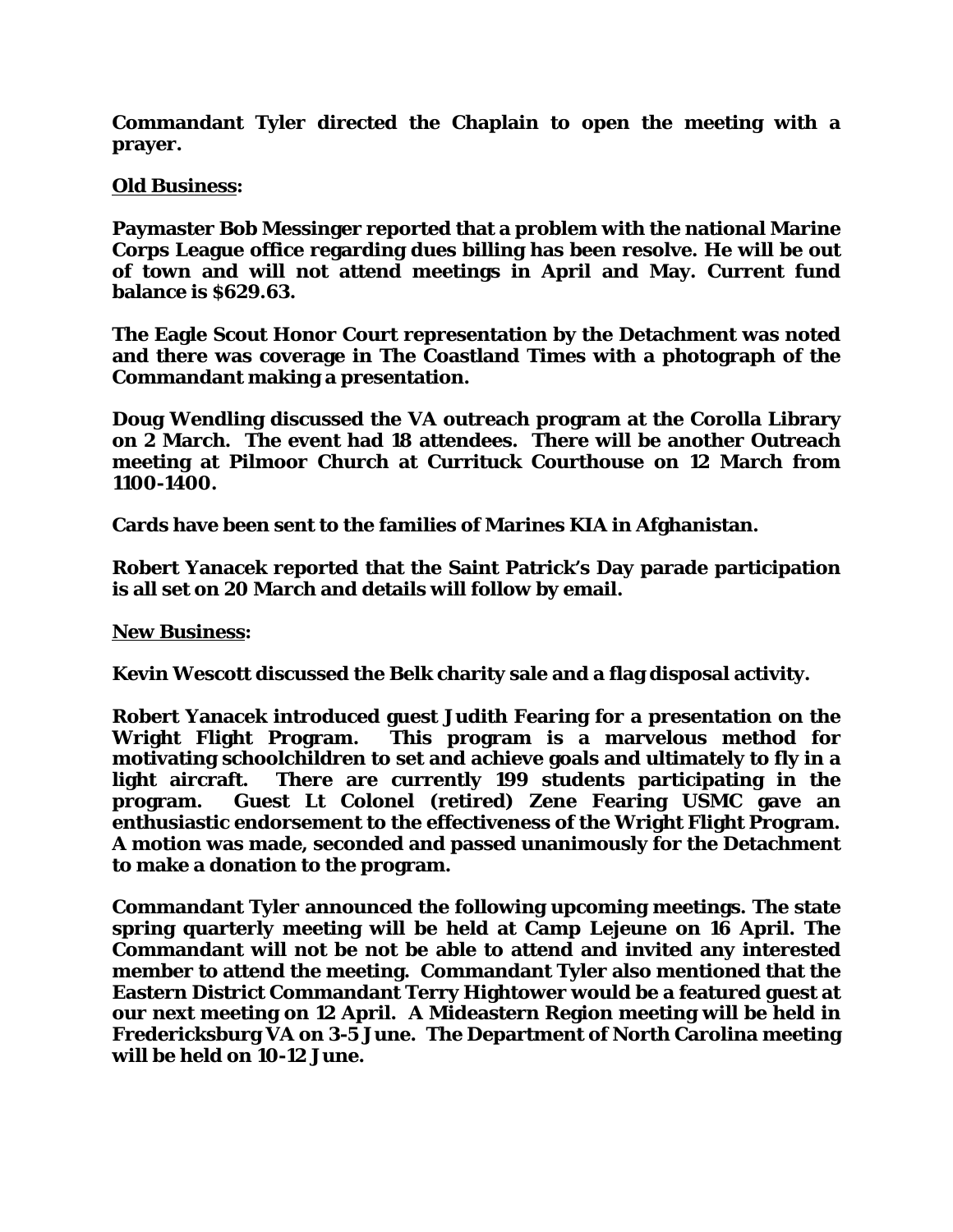**Commandant Tyler directed the Chaplain to open the meeting with a prayer.** 

## **Old Business:**

**Paymaster Bob Messinger reported that a problem with the national Marine Corps League office regarding dues billing has been resolve. He will be out of town and will not attend meetings in April and May. Current fund balance is \$629.63.** 

**The Eagle Scout Honor Court representation by the Detachment was noted and there was coverage in The Coastland Times with a photograph of the Commandant making a presentation.** 

**Doug Wendling discussed the VA outreach program at the Corolla Library on 2 March. The event had 18 attendees. There will be another Outreach meeting at Pilmoor Church at Currituck Courthouse on 12 March from 1100-1400.** 

**Cards have been sent to the families of Marines KIA in Afghanistan.** 

**Robert Yanacek reported that the Saint Patrick's Day parade participation is all set on 20 March and details will follow by email.** 

**New Business:** 

**Kevin Wescott discussed the Belk charity sale and a flag disposal activity.** 

**Robert Yanacek introduced guest Judith Fearing for a presentation on the Wright Flight Program. This program is a marvelous method for motivating schoolchildren to set and achieve goals and ultimately to fly in a light aircraft. There are currently 199 students participating in the program. Guest Lt Colonel (retired) Zene Fearing USMC gave an enthusiastic endorsement to the effectiveness of the Wright Flight Program. A motion was made, seconded and passed unanimously for the Detachment to make a donation to the program.** 

**Commandant Tyler announced the following upcoming meetings. The state spring quarterly meeting will be held at Camp Lejeune on 16 April. The Commandant will not be not be able to attend and invited any interested member to attend the meeting. Commandant Tyler also mentioned that the Eastern District Commandant Terry Hightower would be a featured guest at our next meeting on 12 April. A Mideastern Region meeting will be held in Fredericksburg VA on 3-5 June. The Department of North Carolina meeting will be held on 10-12 June.**